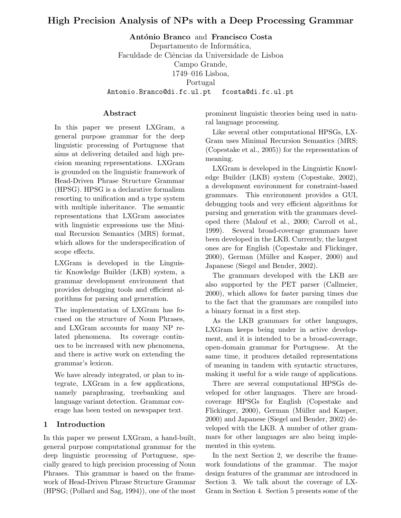# High Precision Analysis of NPs with a Deep Processing Grammar

António Branco and Francisco Costa

Departamento de Informática, Faculdade de Ciências da Universidade de Lisboa Campo Grande, 1749–016 Lisboa, Portugal Antonio.Branco@di.fc.ul.pt fcosta@di.fc.ul.pt

#### Abstract

In this paper we present LXGram, a general purpose grammar for the deep linguistic processing of Portuguese that aims at delivering detailed and high precision meaning representations. LXGram is grounded on the linguistic framework of Head-Driven Phrase Structure Grammar (HPSG). HPSG is a declarative formalism resorting to unification and a type system with multiple inheritance. The semantic representations that LXGram associates with linguistic expressions use the Minimal Recursion Semantics (MRS) format, which allows for the underspecification of scope effects.

LXGram is developed in the Linguistic Knowledge Builder (LKB) system, a grammar development environment that provides debugging tools and efficient algorithms for parsing and generation.

The implementation of LXGram has focused on the structure of Noun Phrases, and LXGram accounts for many NP related phenomena. Its coverage continues to be increased with new phenomena, and there is active work on extending the grammar's lexicon.

We have already integrated, or plan to integrate, LXGram in a few applications, namely paraphrasing, treebanking and language variant detection. Grammar coverage has been tested on newspaper text.

### 1 Introduction

In this paper we present LXGram, a hand-built, general purpose computational grammar for the deep linguistic processing of Portuguese, specially geared to high precision processing of Noun Phrases. This grammar is based on the framework of Head-Driven Phrase Structure Grammar (HPSG; (Pollard and Sag, 1994)), one of the most

prominent linguistic theories being used in natural language processing.

Like several other computational HPSGs, LX-Gram uses Minimal Recursion Semantics (MRS; (Copestake et al., 2005)) for the representation of meaning.

LXGram is developed in the Linguistic Knowledge Builder (LKB) system (Copestake, 2002), a development environment for constraint-based grammars. This environment provides a GUI, debugging tools and very efficient algorithms for parsing and generation with the grammars developed there (Malouf et al., 2000; Carroll et al., 1999). Several broad-coverage grammars have been developed in the LKB. Currently, the largest ones are for English (Copestake and Flickinger, 2000), German (Müller and Kasper, 2000) and Japanese (Siegel and Bender, 2002).

The grammars developed with the LKB are also supported by the PET parser (Callmeier, 2000), which allows for faster parsing times due to the fact that the grammars are compiled into a binary format in a first step.

As the LKB grammars for other languages, LXGram keeps being under in active development, and it is intended to be a broad-coverage, open-domain grammar for Portuguese. At the same time, it produces detailed representations of meaning in tandem with syntactic structures, making it useful for a wide range of applications.

There are several computational HPSGs developed for other languages. There are broadcoverage HPSGs for English (Copestake and Flickinger, 2000), German (Müller and Kasper, 2000) and Japanese (Siegel and Bender, 2002) developed with the LKB. A number of other grammars for other languages are also being implemented in this system.

In the next Section 2, we describe the framework foundations of the grammar. The major design features of the grammar are introduced in Section 3. We talk about the coverage of LX-Gram in Section 4. Section 5 presents some of the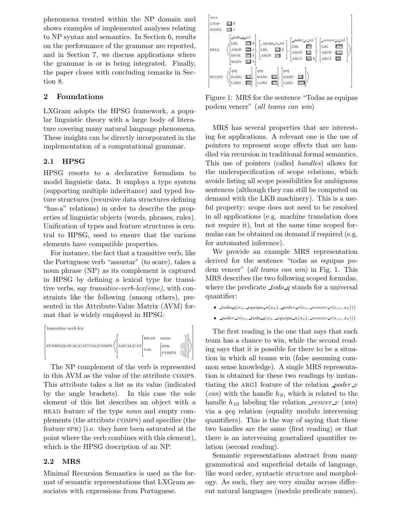phenomena treated within the NP domain and shows examples of implemented analyses relating to NP syntax and semantics. In Section 6, results on the performance of the grammar are reported, and in Section 7, we discuss applications where the grammar is or is being integrated. Finally, the paper closes with concluding remarks in Section 8.

### 2 Foundations

LXGram adopts the HPSG framework, a popular linguistic theory with a large body of literature covering many natural language phenomena. These insights can be directly incorporated in the implementation of a computational grammar.

### 2.1 HPSG

HPSG resorts to a declarative formalism to model linguistic data. It employs a type system (supporting multiple inheritance) and typed feature structures (recursive data structures defining "has-a" relations) in order to describe the properties of linguistic objects (words, phrases, rules). Unification of types and feature structures is central to HPSG, used to ensure that the various elements have compatible properties.

For instance, the fact that a transitive verb, like the Portuguese verb "assustar" (to scare), takes a noun phrase (NP) as its complement is captured in HPSG by defining a lexical type for transitive verbs, say *transitive-verb-lex(eme)*, with constraints like the following (among others), presented in the Attribute-Value Matrix (AVM) format that is widely employed in HPSG:



The NP complement of the verb is represented in this AVM as the value of the attribute comps. This attribute takes a list as its value (indicated by the angle brackets). In this case the sole element of this list describes an object with a head feature of the type noun and empty complements (the attribute comps) and specifier (the feature spr) (i.e. they have been saturated at the point where the verb combines with this element), which is the HPSG description of an NP.

#### 2.2 MRS

Minimal Recursion Semantics is used as the format of semantic representations that LXGram associates with expressions from Portuguese.



Figure 1: MRS for the sentence "Todas as equipas podem vencer" (all teams can win)

MRS has several properties that are interesting for applications. A relevant one is the use of pointers to represent scope effects that are handled via recursion in traditional formal semantics. This use of pointers (called handles) allows for the underspecification of scope relations, which avoids listing all scope possibilities for ambiguous sentences (although they can still be computed on demand with the LKB machinery). This is a useful property: scope does not need to be resolved in all applications (e.g. machine translation does not require it), but at the same time scoped formulas can be obtained on demand if required (e.g. for automated inference).

We provide an example MRS representation derived for the sentence "todas as equipas podem vencer" (all teams can win) in Fig. 1. This MRS describes the two following scoped formulas, where the predicate  $\text{Id}_Q$  stands for a universal quantifier:

- $\text{\texttt{todo-q}}(x_6, \text{\texttt{equipa-n}}(x_6), \text{\texttt{poder-v}}(e_2, \text{\texttt{vencer-v}}(e_{11}, x_6)))$
- poder  $v(e_2, todo q(x_6, equipa_n(x_6), vencer_v(e_{11}, x_6)))$

The first reading is the one that says that each team has a chance to win, while the second reading says that it is possible for there to be a situation in which all teams win (false assuming common sense knowledge). A single MRS representation is obtained for these two readings by instantiating the ARG1 feature of the relation  $poder_v$  $(can)$  with the handle  $hg$ , which is related to the handle  $h_{10}$  labeling the relation vencer v (win) via a qeq relation (equality modulo intervening quantifiers). This is the way of saying that these two handles are the same (first reading) or that there is an intervening generalized quantifier relation (second reading).

Semantic representations abstract from many grammatical and superficial details of language, like word order, syntactic structure and morphology. As such, they are very similar across different natural languages (modulo predicate names).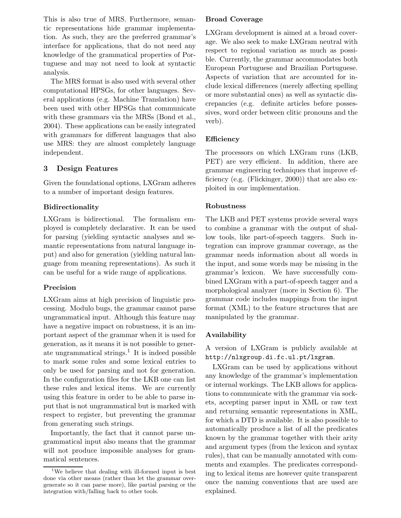This is also true of MRS. Furthermore, semantic representations hide grammar implementation. As such, they are the preferred grammar's interface for applications, that do not need any knowledge of the grammatical properties of Portuguese and may not need to look at syntactic analysis.

The MRS format is also used with several other computational HPSGs, for other languages. Several applications (e.g. Machine Translation) have been used with other HPSGs that communicate with these grammars via the MRSs (Bond et al., 2004). These applications can be easily integrated with grammars for different languages that also use MRS: they are almost completely language independent.

## 3 Design Features

Given the foundational options, LXGram adheres to a number of important design features.

## Bidirectionality

LXGram is bidirectional. The formalism employed is completely declarative. It can be used for parsing (yielding syntactic analyses and semantic representations from natural language input) and also for generation (yielding natural language from meaning representations). As such it can be useful for a wide range of applications.

### Precision

LXGram aims at high precision of linguistic processing. Modulo bugs, the grammar cannot parse ungrammatical input. Although this feature may have a negative impact on robustness, it is an important aspect of the grammar when it is used for generation, as it means it is not possible to generate ungrammatical strings.<sup>1</sup> It is indeed possible to mark some rules and some lexical entries to only be used for parsing and not for generation. In the configuration files for the LKB one can list these rules and lexical items. We are currently using this feature in order to be able to parse input that is not ungrammatical but is marked with respect to register, but preventing the grammar from generating such strings.

Importantly, the fact that it cannot parse ungrammatical input also means that the grammar will not produce impossible analyses for grammatical sentences.

### Broad Coverage

LXGram development is aimed at a broad coverage. We also seek to make LXGram neutral with respect to regional variation as much as possible. Currently, the grammar accommodates both European Portuguese and Brazilian Portuguese. Aspects of variation that are accounted for include lexical differences (merely affecting spelling or more substantial ones) as well as syntactic discrepancies (e.g. definite articles before possessives, word order between clitic pronouns and the verb).

## Efficiency

The processors on which LXGram runs (LKB, PET) are very efficient. In addition, there are grammar engineering techniques that improve efficiency (e.g. (Flickinger, 2000)) that are also exploited in our implementation.

## Robustness

The LKB and PET systems provide several ways to combine a grammar with the output of shallow tools, like part-of-speech taggers. Such integration can improve grammar coverage, as the grammar needs information about all words in the input, and some words may be missing in the grammar's lexicon. We have successfully combined LXGram with a part-of-speech tagger and a morphological analyzer (more in Section 6). The grammar code includes mappings from the input format (XML) to the feature structures that are manipulated by the grammar.

## Availability

A version of LXGram is publicly available at http://nlxgroup.di.fc.ul.pt/lxgram.

LXGram can be used by applications without any knowledge of the grammar's implementation or internal workings. The LKB allows for applications to communicate with the grammar via sockets, accepting parser input in XML or raw text and returning semantic representations in XML, for which a DTD is available. It is also possible to automatically produce a list of all the predicates known by the grammar together with their arity and argument types (from the lexicon and syntax rules), that can be manually annotated with comments and examples. The predicates corresponding to lexical items are however quite transparent once the naming conventions that are used are explained.

<sup>&</sup>lt;sup>1</sup>We believe that dealing with ill-formed input is best done via other means (rather than let the grammar overgenerate so it can parse more), like partial parsing or the integration with/falling back to other tools.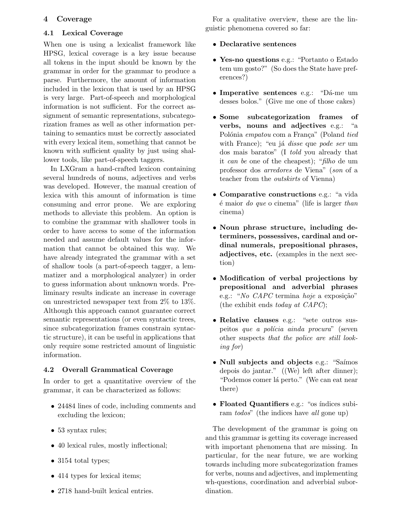### 4 Coverage

### 4.1 Lexical Coverage

When one is using a lexicalist framework like HPSG, lexical coverage is a key issue because all tokens in the input should be known by the grammar in order for the grammar to produce a parse. Furthermore, the amount of information included in the lexicon that is used by an HPSG is very large. Part-of-speech and morphological information is not sufficient. For the correct assignment of semantic representations, subcategorization frames as well as other information pertaining to semantics must be correctly associated with every lexical item, something that cannot be known with sufficient quality by just using shallower tools, like part-of-speech taggers.

In LXGram a hand-crafted lexicon containing several hundreds of nouns, adjectives and verbs was developed. However, the manual creation of lexica with this amount of information is time consuming and error prone. We are exploring methods to alleviate this problem. An option is to combine the grammar with shallower tools in order to have access to some of the information needed and assume default values for the information that cannot be obtained this way. We have already integrated the grammar with a set of shallow tools (a part-of-speech tagger, a lemmatizer and a morphological analyzer) in order to guess information about unknown words. Preliminary results indicate an increase in coverage on unrestricted newspaper text from 2% to 13%. Although this approach cannot guarantee correct semantic representations (or even syntactic trees, since subcategorization frames constrain syntactic structure), it can be useful in applications that only require some restricted amount of linguistic information.

### 4.2 Overall Grammatical Coverage

In order to get a quantitative overview of the grammar, it can be characterized as follows:

- 24484 lines of code, including comments and excluding the lexicon;
- 53 syntax rules;
- 40 lexical rules, mostly inflectional;
- 3154 total types;
- 414 types for lexical items;
- 2718 hand-built lexical entries.

For a qualitative overview, these are the linguistic phenomena covered so far:

- Declarative sentences
- Yes-no questions e.g.: "Portanto o Estado tem um gosto?" (So does the State have preferences?)
- Imperative sentences e.g.: "Dá-me um desses bolos." (Give me one of those cakes)
- Some subcategorization frames of verbs, nouns and adjectives e.g.: "a Polónia empatou com a França" (Poland tied with France); "eu já *disse* que *pode ser* um dos mais baratos" (I told you already that it can be one of the cheapest); "filho de um professor dos arredores de Viena" (son of a teacher from the outskirts of Vienna)
- Comparative constructions e.g.: "a vida  $\acute{e}$  maior *do que* o cinema" (life is larger than cinema)
- Noun phrase structure, including determiners, possessives, cardinal and ordinal numerals, prepositional phrases, adjectives, etc. (examples in the next section)
- Modification of verbal projections by prepositional and adverbial phrases e.g.: "No  $CAPC$  termina hoje a exposição" (the exhibit ends *today at CAPC*);
- Relative clauses e.g.: "sete outros suspeitos que a polícia ainda procura" (seven other suspects that the police are still looking for)
- Null subjects and objects e.g.: "Saímos" depois do jantar." ((We) left after dinner); "Podemos comer lá perto." (We can eat near there)
- Floated Quantifiers e.g.: "os índices subiram todos" (the indices have all gone up)

The development of the grammar is going on and this grammar is getting its coverage increased with important phenomena that are missing. In particular, for the near future, we are working towards including more subcategorization frames for verbs, nouns and adjectives, and implementing wh-questions, coordination and adverbial subordination.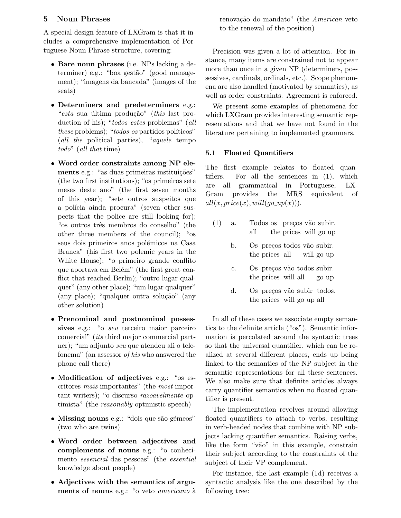### 5 Noun Phrases

A special design feature of LXGram is that it includes a comprehensive implementation of Portuguese Noun Phrase structure, covering:

- Bare noun phrases (i.e. NPs lacking a determiner) e.g.: "boa gestão" (good management); "imagens da bancada" (images of the seats)
- Determiners and predeterminers e.g.: "esta sua última produção" (this last production of his); "todos estes problemas" (all these problems); "todos os partidos políticos" (all the political parties), "aquele tempo todo" (all that time)
- Word order constraints among NP elements e.g.: "as duas primeiras instituições" (the two first institutions); "os primeiros sete meses deste ano" (the first seven months of this year); "sete outros suspeitos que a polícia ainda procura" (seven other suspects that the police are still looking for); "os outros três membros do conselho" (the other three members of the council); "os seus dois primeiros anos polémicos na Casa Branca" (his first two polemic years in the White House); "o primeiro grande conflito que aportava em Belém" (the first great conflict that reached Berlin); "outro lugar qualquer" (any other place); "um lugar qualquer"  $(\text{any place});$  "qualquer outra solução"  $(\text{any }$ other solution)
- Prenominal and postnominal possessives e.g.: "o seu terceiro maior parceiro comercial" (its third major commercial partner); "um adjunto seu que atendeu ali o telefonema" (an assessor of his who answered the phone call there)
- Modification of adjectives e.g.: "os escritores mais importantes" (the most important writers); "o discurso razoavelmente optimista" (the reasonably optimistic speech)
- Missing nouns e.g.: "dois que são gémeos" (two who are twins)
- Word order between adjectives and complements of nouns e.g.: "o conhecimento essencial das pessoas" (the essential knowledge about people)
- Adjectives with the semantics of arguments of nouns e.g.: "o veto *americano* à

renovação do mandato" (the American veto to the renewal of the position)

Precision was given a lot of attention. For instance, many items are constrained not to appear more than once in a given NP (determiners, possessives, cardinals, ordinals, etc.). Scope phenomena are also handled (motivated by semantics), as well as order constraints. Agreement is enforced.

We present some examples of phenomena for which LXGram provides interesting semantic representations and that we have not found in the literature pertaining to implemented grammars.

### 5.1 Floated Quantifiers

The first example relates to floated quantifiers. For all the sentences in (1), which are all grammatical in Portuguese, LX-Gram provides the MRS equivalent of  $all(x, price(x), will (go\_up(x))).$ 

- (1) a. Todos os preços vão subir. all the prices will go up
	- b. Os preços todos vão subir. the prices all will go up
	- c. Os preços vão todos subir. the prices will all go up
	- d. Os preços vão subir todos. the prices will go up all

In all of these cases we associate empty semantics to the definite article ("os"). Semantic information is percolated around the syntactic trees so that the universal quantifier, which can be realized at several different places, ends up being linked to the semantics of the NP subject in the semantic representations for all these sentences. We also make sure that definite articles always carry quantifier semantics when no floated quantifier is present.

The implementation revolves around allowing floated quantifiers to attach to verbs, resulting in verb-headed nodes that combine with NP subjects lacking quantifier semantics. Raising verbs, like the form "vão" in this example, constrain their subject according to the constraints of the subject of their VP complement.

For instance, the last example (1d) receives a syntactic analysis like the one described by the following tree: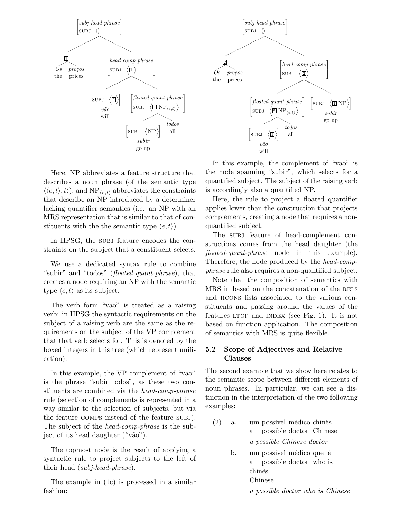

Here, NP abbreviates a feature structure that describes a noun phrase (of the semantic type  $\langle\langle e,t\rangle,t\rangle$ , and NP<sub> $\langle e,t\rangle$ </sub> abbreviates the constraints that describe an NP introduced by a determiner lacking quantifier semantics (i.e. an NP with an MRS representation that is similar to that of constituents with the the semantic type  $\langle e, t \rangle$ .

In HPSG, the subj feature encodes the constraints on the subject that a constituent selects.

We use a dedicated syntax rule to combine "subir" and "todos" (*floated-quant-phrase*), that creates a node requiring an NP with the semantic type  $\langle e, t \rangle$  as its subject.

The verb form "vão" is treated as a raising verb: in HPSG the syntactic requirements on the subject of a raising verb are the same as the requirements on the subject of the VP complement that that verb selects for. This is denoted by the boxed integers in this tree (which represent unification).

In this example, the VP complement of "vão" is the phrase "subir todos", as these two constituents are combined via the head-comp-phrase rule (selection of complements is represented in a way similar to the selection of subjects, but via the feature comps instead of the feature subj). The subject of the head-comp-phrase is the subject of its head daughter ("vão").

The topmost node is the result of applying a syntactic rule to project subjects to the left of their head (subj-head-phrase).

The example in (1c) is processed in a similar fashion:



In this example, the complement of "vão" is the node spanning "subir", which selects for a quantified subject. The subject of the raising verb is accordingly also a quantified NP.

Here, the rule to project a floated quantifier applies lower than the construction that projects complements, creating a node that requires a nonquantified subject.

The subj feature of head-complement constructions comes from the head daughter (the floated-quant-phrase node in this example). Therefore, the node produced by the head-compphrase rule also requires a non-quantified subject.

Note that the composition of semantics with MRS in based on the concatenation of the RELS and hcons lists associated to the various constituents and passing around the values of the features LTOP and INDEX (see Fig. 1). It is not based on function application. The composition of semantics with MRS is quite flexible.

### 5.2 Scope of Adjectives and Relative Clauses

The second example that we show here relates to the semantic scope between different elements of noun phrases. In particular, we can see a distinction in the interpretation of the two following examples:

- (2) a. um possível médico chinês a possible doctor Chinese a possible Chinese doctor
	- b. um possível médico que é a possible doctor who is chinês Chinese

a possible doctor who is Chinese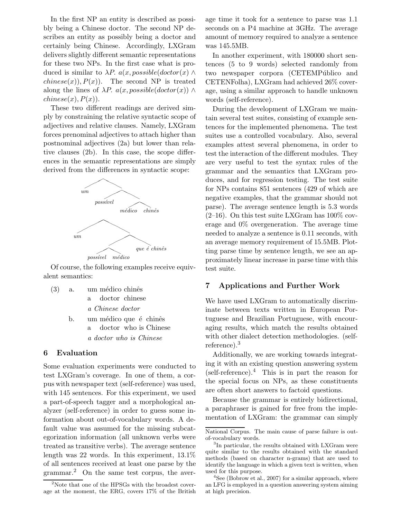In the first NP an entity is described as possibly being a Chinese doctor. The second NP describes an entity as possibly being a doctor and certainly being Chinese. Accordingly, LXGram delivers slightly different semantic representations for these two NPs. In the first case what is produced is similar to  $\lambda P$ .  $a(x, possible(dactor(x) \wedge$  $chinese(x), P(x)$ . The second NP is treated along the lines of  $\lambda P$ .  $a(x, possible(dactor(x)) \wedge$  $chinese(x), P(x)$ .

These two different readings are derived simply by constraining the relative syntactic scope of adjectives and relative clauses. Namely, LXGram forces prenominal adjectives to attach higher than postnominal adjectives (2a) but lower than relative clauses (2b). In this case, the scope differences in the semantic representations are simply derived from the differences in syntactic scope:



Of course, the following examples receive equivalent semantics:

a doctor who is Chinese

| (3) | a. um médico chinês         |
|-----|-----------------------------|
|     | a doctor chinese            |
|     | a Chinese doctor            |
|     | b. um médico que é chinês   |
|     | doctor who is Chinese<br>а. |

6 Evaluation

Some evaluation experiments were conducted to test LXGram's coverage. In one of them, a corpus with newspaper text (self-reference) was used, with 145 sentences. For this experiment, we used a part-of-speech tagger and a morphological analyzer (self-reference) in order to guess some information about out-of-vocabulary words. A default value was assumed for the missing subcategorization information (all unknown verbs were treated as transitive verbs). The average sentence length was 22 words. In this experiment, 13.1% of all sentences received at least one parse by the grammar.<sup>2</sup> On the same test corpus, the aver-

age time it took for a sentence to parse was 1.1 seconds on a P4 machine at 3GHz. The average amount of memory required to analyze a sentence was 145.5MB.

In another experiment, with 180000 short sentences (5 to 9 words) selected randomly from two newspaper corpora (CETEMPublico and CETENFolha), LXGram had achieved 26% coverage, using a similar approach to handle unknown words (self-reference).

During the development of LXGram we maintain several test suites, consisting of example sentences for the implemented phenomena. The test suites use a controlled vocabulary. Also, several examples attest several phenomena, in order to test the interaction of the different modules. They are very useful to test the syntax rules of the grammar and the semantics that LXGram produces, and for regression testing. The test suite for NPs contains 851 sentences (429 of which are negative examples, that the grammar should not parse). The average sentence length is 5.3 words  $(2-16)$ . On this test suite LXGram has  $100\%$  coverage and 0% overgeneration. The average time needed to analyze a sentence is 0.11 seconds, with an average memory requirement of 15.5MB. Plotting parse time by sentence length, we see an approximately linear increase in parse time with this test suite.

#### 7 Applications and Further Work

We have used LXGram to automatically discriminate between texts written in European Portuguese and Brazilian Portuguese, with encouraging results, which match the results obtained with other dialect detection methodologies. (selfreference).<sup>3</sup>

Additionally, we are working towards integrating it with an existing question answering system (self-reference).<sup>4</sup> This is in part the reason for the special focus on NPs, as these constituents are often short answers to factoid questions.

Because the grammar is entirely bidirectional, a paraphraser is gained for free from the implementation of LXGram: the grammar can simply

 $2$ Note that one of the HPSGs with the broadest coverage at the moment, the ERG, covers 17% of the British

National Corpus. The main cause of parse failure is outof-vocabulary words.

<sup>&</sup>lt;sup>3</sup>In particular, the results obtained with LXGram were quite similar to the results obtained with the standard methods (based on character n-grams) that are used to identify the language in which a given text is written, when used for this purpose.

 ${}^{4}$ See (Bobrow et al., 2007) for a similar approach, where an LFG is employed in a question answering system aiming at high precision.